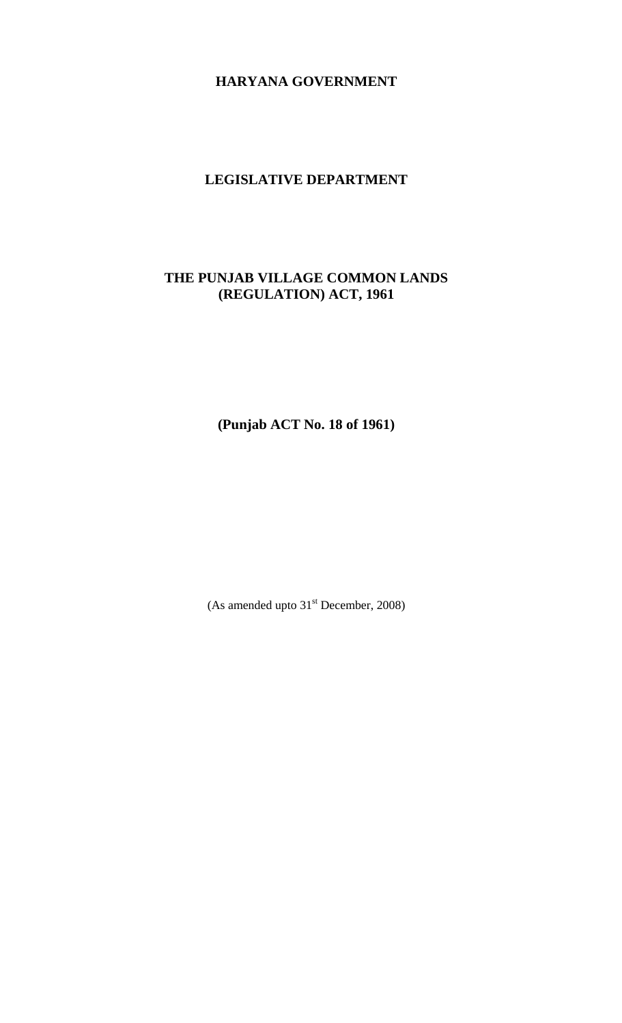# **HARYANA GOVERNMENT**

### **LEGISLATIVE DEPARTMENT**

## **THE PUNJAB VILLAGE COMMON LANDS (REGULATION) ACT, 1961**

**(Punjab ACT No. 18 of 1961)** 

(As amended upto  $31<sup>st</sup>$  December, 2008)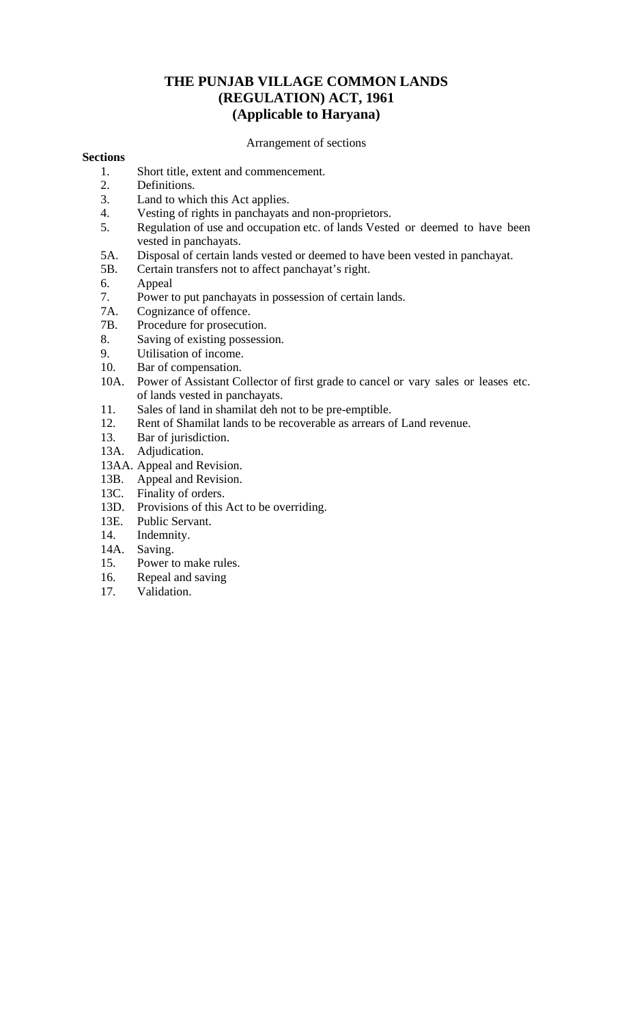## **THE PUNJAB VILLAGE COMMON LANDS (REGULATION) ACT, 1961 (Applicable to Haryana)**

Arrangement of sections

### **Sections**

- 1. Short title, extent and commencement.
- 2. Definitions.
- 3. Land to which this Act applies.
- 4. Vesting of rights in panchayats and non-proprietors.
- 5. Regulation of use and occupation etc. of lands Vested or deemed to have been vested in panchayats.
- 5A. Disposal of certain lands vested or deemed to have been vested in panchayat.
- 5B. Certain transfers not to affect panchayat's right.
- 6. Appeal
- 7. Power to put panchayats in possession of certain lands.
- 7A. Cognizance of offence.
- 7B. Procedure for prosecution.
- 8. Saving of existing possession.
- 9. Utilisation of income.
- 10. Bar of compensation.<br>10A. Power of Assistant Co
- Power of Assistant Collector of first grade to cancel or vary sales or leases etc. of lands vested in panchayats.
- 11. Sales of land in shamilat deh not to be pre-emptible.
- 12. Rent of Shamilat lands to be recoverable as arrears of Land revenue.
- 13. Bar of jurisdiction.
- 13A. Adjudication.
- 13AA. Appeal and Revision.
- 13B. Appeal and Revision.
- 13C. Finality of orders.
- 13D. Provisions of this Act to be overriding.
- 13E. Public Servant.
- 14. Indemnity.
- 14A. Saving.
- 15. Power to make rules.
- 16. Repeal and saving
- 17. Validation.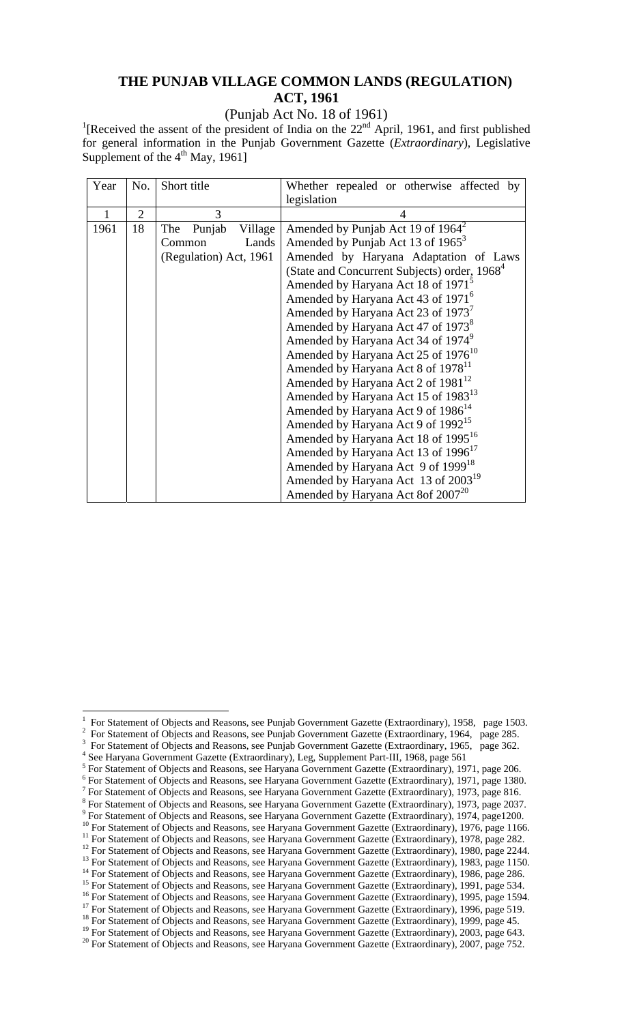## **THE PUNJAB VILLAGE COMMON LANDS (REGULATION) ACT, 1961**

(Punjab Act No. 18 of 1961)

<sup>1</sup>[Received the assent of the president of India on the  $22<sup>nd</sup>$  April, 1961, and first published for general information in the Punjab Government Gazette (*Extraordinary*), Legislative Supplement of the 4<sup>th</sup> May, 1961]

| Year | No.            | Short title              | Whether repealed or otherwise affected by                |
|------|----------------|--------------------------|----------------------------------------------------------|
|      |                |                          | legislation                                              |
| 1    | $\overline{2}$ | 3                        | 4                                                        |
| 1961 | 18             | Punjab<br>Village<br>The | Amended by Punjab Act 19 of $1964^2$                     |
|      |                | Lands<br>Common          | Amended by Punjab Act 13 of 1965 <sup>3</sup>            |
|      |                | (Regulation) Act, 1961   | Amended by Haryana Adaptation of Laws                    |
|      |                |                          | (State and Concurrent Subjects) order, 1968 <sup>4</sup> |
|      |                |                          | Amended by Haryana Act 18 of 1971 <sup>5</sup>           |
|      |                |                          | Amended by Haryana Act 43 of 1971 <sup>6</sup>           |
|      |                |                          | Amended by Haryana Act 23 of 1973 <sup>7</sup>           |
|      |                |                          | Amended by Haryana Act 47 of 1973 <sup>8</sup>           |
|      |                |                          | Amended by Haryana Act 34 of 1974 <sup>9</sup>           |
|      |                |                          | Amended by Haryana Act 25 of 1976 <sup>10</sup>          |
|      |                |                          | Amended by Haryana Act 8 of 1978 <sup>11</sup>           |
|      |                |                          | Amended by Haryana Act 2 of 1981 <sup>12</sup>           |
|      |                |                          | Amended by Haryana Act 15 of 1983 <sup>13</sup>          |
|      |                |                          | Amended by Haryana Act 9 of 1986 <sup>14</sup>           |
|      |                |                          | Amended by Haryana Act 9 of 1992 <sup>15</sup>           |
|      |                |                          | Amended by Haryana Act 18 of 1995 <sup>16</sup>          |
|      |                |                          | Amended by Haryana Act 13 of 1996 <sup>17</sup>          |
|      |                |                          | Amended by Haryana Act 9 of 1999 <sup>18</sup>           |
|      |                |                          | Amended by Haryana Act 13 of 2003 <sup>19</sup>          |
|      |                |                          | Amended by Haryana Act 8of 2007 <sup>20</sup>            |

 For Statement of Objects and Reasons, see Punjab Government Gazette (Extraordinary, 1965, page 362. 4

<sup>1</sup> For Statement of Objects and Reasons, see Punjab Government Gazette (Extraordinary), 1958, page 1503. 2

For Statement of Objects and Reasons, see Punjab Government Gazette (Extraordinary, 1964, page 285. 3

See Haryana Government Gazette (Extraordinary), Leg, Supplement Part-III, 1968, page 561 For Statement of Objects and Reasons, see Haryana Government Gazette (Extraordinary), 1971, page 206.

<sup>&</sup>lt;sup>6</sup> For Statement of Objects and Reasons, see Haryana Government Gazette (Extraordinary), 1971, page 1380.

<sup>&</sup>lt;sup>7</sup> For Statement of Objects and Reasons, see Haryana Government Gazette (Extraordinary), 1973, page 816.

<sup>&</sup>lt;sup>8</sup> For Statement of Objects and Reasons, see Haryana Government Gazette (Extraordinary), 1973, page 2037.

<sup>&</sup>lt;sup>9</sup> For Statement of Objects and Reasons, see Haryana Government Gazette (Extraordinary), 1974, page1200.

<sup>&</sup>lt;sup>10</sup> For Statement of Objects and Reasons, see Haryana Government Gazette (Extraordinary), 1976, page 1166.

<sup>&</sup>lt;sup>11</sup> For Statement of Objects and Reasons, see Haryana Government Gazette (Extraordinary), 1978, page 282.

<sup>&</sup>lt;sup>12</sup> For Statement of Objects and Reasons, see Haryana Government Gazette (Extraordinary), 1980, page 2244. <sup>13</sup> For Statement of Objects and Reasons, see Haryana Government Gazette (Extraordinary), 1983, page 1150.

<sup>&</sup>lt;sup>14</sup> For Statement of Objects and Reasons, see Haryana Government Gazette (Extraordinary), 1986, page 286.

<sup>&</sup>lt;sup>15</sup> For Statement of Objects and Reasons, see Haryana Government Gazette (Extraordinary), 1991, page 534.

<sup>&</sup>lt;sup>16</sup> For Statement of Objects and Reasons, see Haryana Government Gazette (Extraordinary), 1995, page 1594.

<sup>&</sup>lt;sup>17</sup> For Statement of Objects and Reasons, see Haryana Government Gazette (Extraordinary), 1996, page 519.

<sup>&</sup>lt;sup>18</sup> For Statement of Objects and Reasons, see Haryana Government Gazette (Extraordinary), 1999, page 45.

<sup>&</sup>lt;sup>19</sup> For Statement of Objects and Reasons, see Haryana Government Gazette (Extraordinary), 2003, page 643.

<sup>&</sup>lt;sup>20</sup> For Statement of Objects and Reasons, see Haryana Government Gazette (Extraordinary), 2007, page 752.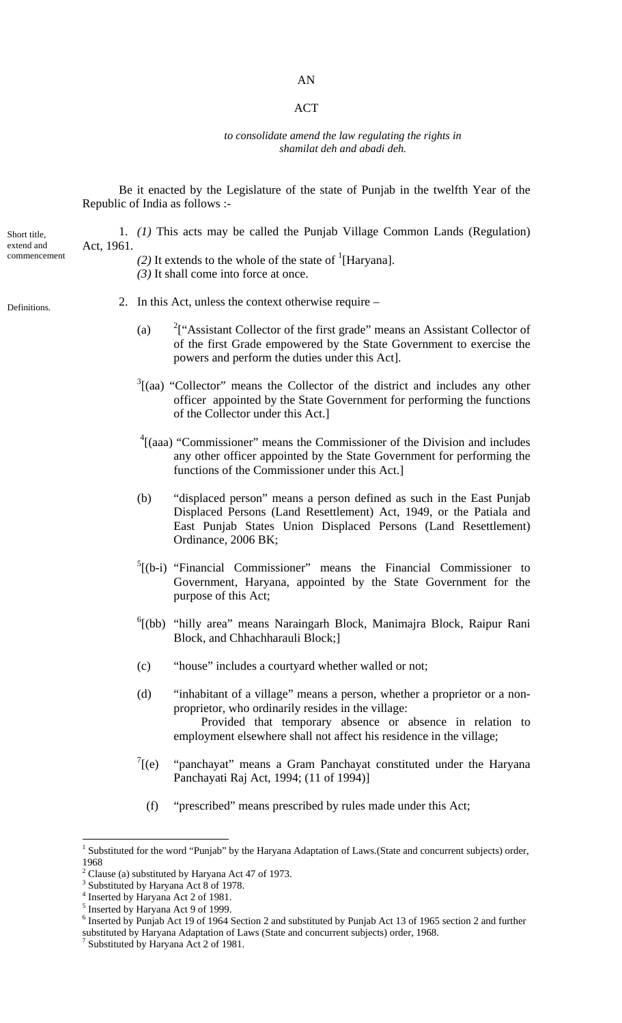### AN

### ACT

#### *to consolidate amend the law regulating the rights in shamilat deh and abadi deh.*

Be it enacted by the Legislature of the state of Punjab in the twelfth Year of the Republic of India as follows :-

1. *(1)* This acts may be called the Punjab Village Common Lands (Regulation)

| extend and<br>commencement | Act, 1961. |               | (2) It extends to the whole of the state of $\Gamma$ [Haryana].<br>$(3)$ It shall come into force at once.                                                                                                                                                         |
|----------------------------|------------|---------------|--------------------------------------------------------------------------------------------------------------------------------------------------------------------------------------------------------------------------------------------------------------------|
| Definitions.               |            |               | 2. In this Act, unless the context otherwise require $-$                                                                                                                                                                                                           |
|                            |            | (a)           | <sup>2</sup> ["Assistant Collector of the first grade" means an Assistant Collector of<br>of the first Grade empowered by the State Government to exercise the<br>powers and perform the duties under this Act].                                                   |
|                            |            |               | $3$ [(aa) "Collector" means the Collector of the district and includes any other<br>officer appointed by the State Government for performing the functions<br>of the Collector under this Act.]                                                                    |
|                            |            |               | $\frac{4}{1}$ (aaa) "Commissioner" means the Commissioner of the Division and includes<br>any other officer appointed by the State Government for performing the<br>functions of the Commissioner under this Act.]                                                 |
|                            |            | (b)           | "displaced person" means a person defined as such in the East Punjab<br>Displaced Persons (Land Resettlement) Act, 1949, or the Patiala and<br>East Punjab States Union Displaced Persons (Land Resettlement)<br>Ordinance, 2006 BK;                               |
|                            |            |               | ${}^{5}$ [(b-i) "Financial Commissioner" means the Financial Commissioner to<br>Government, Haryana, appointed by the State Government for the<br>purpose of this Act;                                                                                             |
|                            |            |               | <sup>6</sup> [(bb) "hilly area" means Naraingarh Block, Manimajra Block, Raipur Rani<br>Block, and Chhachharauli Block;                                                                                                                                            |
|                            |            | (c)           | "house" includes a courtyard whether walled or not;                                                                                                                                                                                                                |
|                            |            | (d)           | "inhabitant of a village" means a person, whether a proprietor or a non-<br>proprietor, who ordinarily resides in the village:<br>Provided that temporary absence or absence in relation to<br>employment elsewhere shall not affect his residence in the village; |
|                            |            | $\int^7$ [(e) | "panchayat" means a Gram Panchayat constituted under the Haryana<br>Panchayati Raj Act, 1994; (11 of 1994)]                                                                                                                                                        |
|                            |            | (f)           | "prescribed" means prescribed by rules made under this Act;                                                                                                                                                                                                        |
|                            | 1968       |               | <sup>1</sup> Substituted for the word "Punjab" by the Haryana Adaptation of Laws.(State and concurrent subjects) order,<br>$2$ Clause (a) substituted by Haryana Act 47 of 1973.                                                                                   |

Short title,

<sup>&</sup>lt;sup>3</sup> Substituted by Haryana Act 8 of 1978.<br><sup>4</sup> Inserted by Haryana Act 2 of 1981.

<sup>&</sup>lt;sup>5</sup> Inserted by Haryana Act 9 of 1999.

<sup>&</sup>lt;sup>6</sup> Inserted by Punjab Act 19 of 1964 Section 2 and substituted by Punjab Act 13 of 1965 section 2 and further substituted by Haryana Adaptation of Laws (State and concurrent subjects) order, 1968.<br><sup>7</sup> Substituted by Haryana Act 2 of 1981.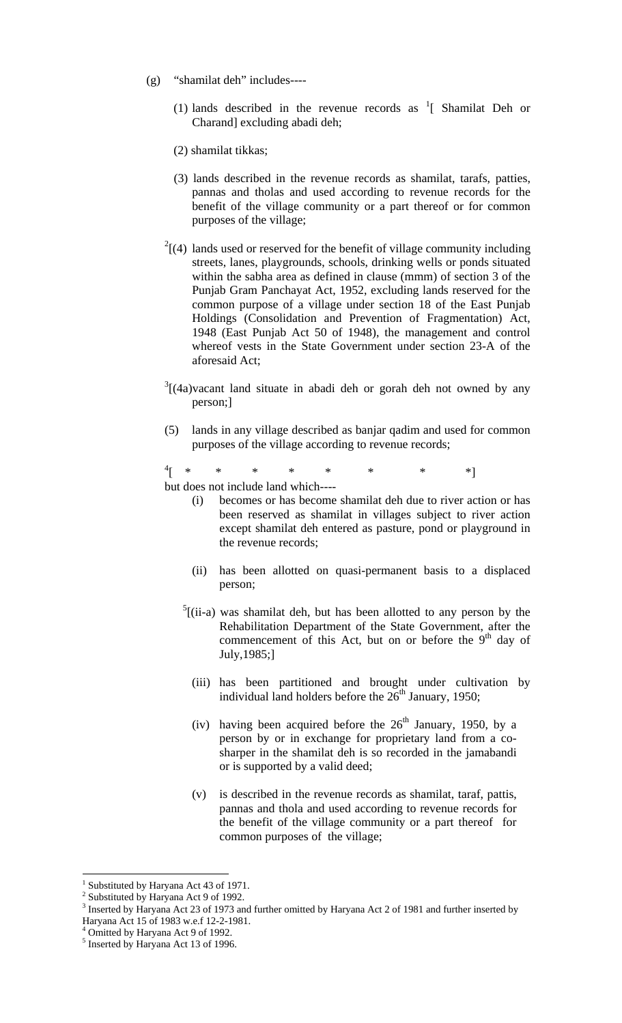- (g) "shamilat deh" includes----
	- (1) lands described in the revenue records as  $\frac{1}{1}$  Shamilat Deh or Charand] excluding abadi deh;
	- (2) shamilat tikkas;
	- (3) lands described in the revenue records as shamilat, tarafs, patties, pannas and tholas and used according to revenue records for the benefit of the village community or a part thereof or for common purposes of the village;
	- $2(4)$  lands used or reserved for the benefit of village community including streets, lanes, playgrounds, schools, drinking wells or ponds situated within the sabha area as defined in clause (mmm) of section 3 of the Punjab Gram Panchayat Act, 1952, excluding lands reserved for the common purpose of a village under section 18 of the East Punjab Holdings (Consolidation and Prevention of Fragmentation) Act, 1948 (East Punjab Act 50 of 1948), the management and control whereof vests in the State Government under section 23-A of the aforesaid Act;
	- $3[(4a)$ vacant land situate in abadi deh or gorah deh not owned by any person;]
	- (5) lands in any village described as banjar qadim and used for common purposes of the village according to revenue records;

 $\frac{4}{\sqrt{2}}$ [ \* \* \* \* \* \* \* \*] but does not include land which----

- becomes or has become shamilat deh due to river action or has been reserved as shamilat in villages subject to river action except shamilat deh entered as pasture, pond or playground in the revenue records;
- (ii) has been allotted on quasi-permanent basis to a displaced person;
- $<sup>5</sup>$ [(ii-a) was shamilat deh, but has been allotted to any person by the</sup> Rehabilitation Department of the State Government, after the commencement of this Act, but on or before the 9<sup>th</sup> day of July,1985;]
	- (iii) has been partitioned and brought under cultivation by individual land holders before the  $26<sup>th</sup>$  January, 1950;
	- (iv) having been acquired before the  $26<sup>th</sup>$  January, 1950, by a person by or in exchange for proprietary land from a cosharper in the shamilat deh is so recorded in the jamabandi or is supported by a valid deed;
	- (v) is described in the revenue records as shamilat, taraf, pattis, pannas and thola and used according to revenue records for the benefit of the village community or a part thereof for common purposes of the village;

<sup>&</sup>lt;sup>1</sup> Substituted by Haryana Act 43 of 1971.

<sup>&</sup>lt;sup>2</sup> Substituted by Haryana Act 9 of 1992.

 $3$  Inserted by Haryana Act 23 of 1973 and further omitted by Haryana Act 2 of 1981 and further inserted by Haryana Act 15 of 1983 w.e.f 12-2-1981.

<sup>&</sup>lt;sup>4</sup> Omitted by Haryana Act 9 of 1992.

<sup>&</sup>lt;sup>5</sup> Inserted by Haryana Act 13 of 1996.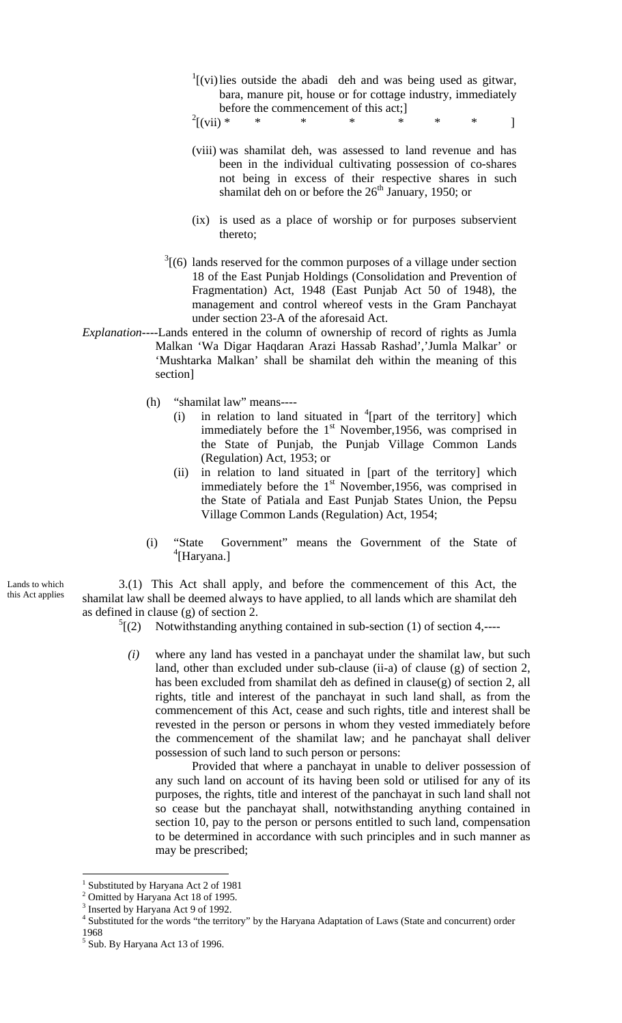$\frac{1}{1}$ [(vi) lies outside the abadi deh and was being used as gitwar, bara, manure pit, house or for cottage industry, immediately before the commencement of this act;]

 $\frac{2}{\sqrt{2}}$  (vii) \*  $[(\n \text{vii}) * * * * * * * * * ]$ 

- (viii) was shamilat deh, was assessed to land revenue and has been in the individual cultivating possession of co-shares not being in excess of their respective shares in such shamilat deh on or before the  $26<sup>th</sup>$  January, 1950; or
- (ix) is used as a place of worship or for purposes subservient thereto;
- $3(6)$  lands reserved for the common purposes of a village under section 18 of the East Punjab Holdings (Consolidation and Prevention of Fragmentation) Act, 1948 (East Punjab Act 50 of 1948), the management and control whereof vests in the Gram Panchayat under section 23-A of the aforesaid Act.
- *Explanation----*Lands entered in the column of ownership of record of rights as Jumla Malkan 'Wa Digar Haqdaran Arazi Hassab Rashad','Jumla Malkar' or 'Mushtarka Malkan' shall be shamilat deh within the meaning of this section]
	- (h) "shamilat law" means----
		- (i) in relation to land situated in  $\frac{4}{1}$  [part of the territory] which immediately before the 1<sup>st</sup> November, 1956, was comprised in the State of Punjab, the Punjab Village Common Lands (Regulation) Act, 1953; or
		- (ii) in relation to land situated in [part of the territory] which immediately before the 1<sup>st</sup> November, 1956, was comprised in the State of Patiala and East Punjab States Union, the Pepsu Village Common Lands (Regulation) Act, 1954;
	- (i) "State Government" means the Government of the State of 4 [Haryana.]

3.(1) This Act shall apply, and before the commencement of this Act, the shamilat law shall be deemed always to have applied, to all lands which are shamilat deh as defined in clause (g) of section 2.

- $\sqrt[5]{(2)}$ Notwithstanding anything contained in sub-section (1) of section 4,----
	- *(i)* where any land has vested in a panchayat under the shamilat law, but such land, other than excluded under sub-clause (ii-a) of clause (g) of section 2, has been excluded from shamilat deh as defined in clause(g) of section 2, all rights, title and interest of the panchayat in such land shall, as from the commencement of this Act, cease and such rights, title and interest shall be revested in the person or persons in whom they vested immediately before the commencement of the shamilat law; and he panchayat shall deliver possession of such land to such person or persons:

Provided that where a panchayat in unable to deliver possession of any such land on account of its having been sold or utilised for any of its purposes, the rights, title and interest of the panchayat in such land shall not so cease but the panchayat shall, notwithstanding anything contained in section 10, pay to the person or persons entitled to such land, compensation to be determined in accordance with such principles and in such manner as may be prescribed;

 $\overline{a}$ 

Lands to which this Act applies

<sup>&</sup>lt;sup>1</sup> Substituted by Haryana Act 2 of 1981

<sup>&</sup>lt;sup>2</sup> Omitted by Haryana Act 18 of 1995.

<sup>&</sup>lt;sup>3</sup> Inserted by Haryana Act 9 of 1992.

<sup>&</sup>lt;sup>4</sup> Substituted for the words "the territory" by the Haryana Adaptation of Laws (State and concurrent) order 1968

<sup>&</sup>lt;sup>5</sup> Sub. By Haryana Act 13 of 1996.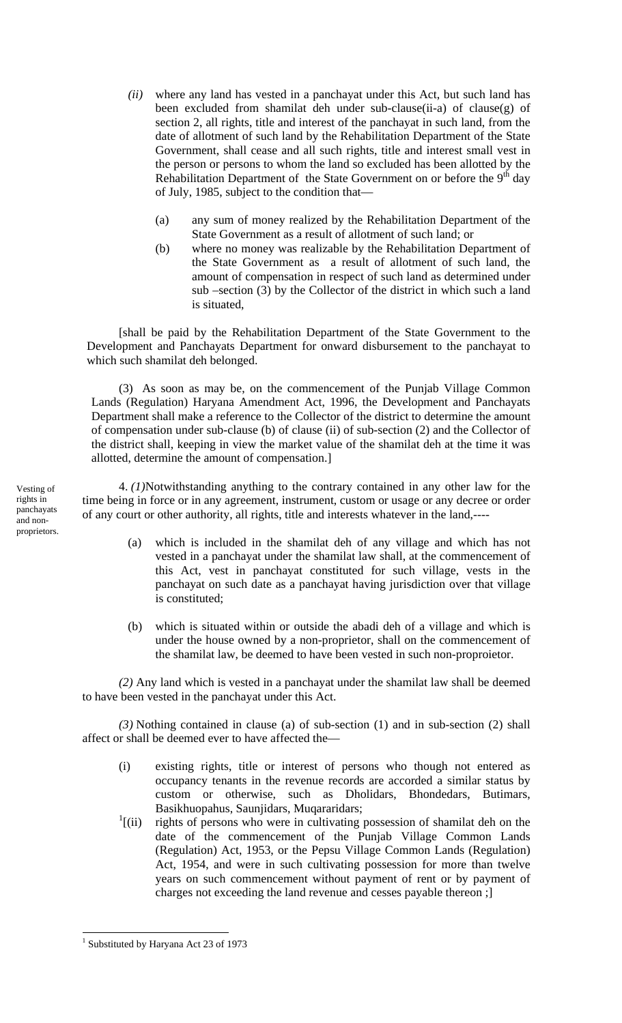- *(ii)* where any land has vested in a panchayat under this Act, but such land has been excluded from shamilat deh under sub-clause(ii-a) of clause(g) of section 2, all rights, title and interest of the panchayat in such land, from the date of allotment of such land by the Rehabilitation Department of the State Government, shall cease and all such rights, title and interest small vest in the person or persons to whom the land so excluded has been allotted by the Rehabilitation Department of the State Government on or before the  $9<sup>th</sup>$  day of July, 1985, subject to the condition that—
	- (a) any sum of money realized by the Rehabilitation Department of the State Government as a result of allotment of such land; or
	- (b) where no money was realizable by the Rehabilitation Department of the State Government as a result of allotment of such land, the amount of compensation in respect of such land as determined under sub –section (3) by the Collector of the district in which such a land is situated,

[shall be paid by the Rehabilitation Department of the State Government to the Development and Panchayats Department for onward disbursement to the panchayat to which such shamilat deh belonged.

(3) As soon as may be, on the commencement of the Punjab Village Common Lands (Regulation) Haryana Amendment Act, 1996, the Development and Panchayats Department shall make a reference to the Collector of the district to determine the amount of compensation under sub-clause (b) of clause (ii) of sub-section (2) and the Collector of the district shall, keeping in view the market value of the shamilat deh at the time it was allotted, determine the amount of compensation.]

4. *(1)*Notwithstanding anything to the contrary contained in any other law for the time being in force or in any agreement, instrument, custom or usage or any decree or order of any court or other authority, all rights, title and interests whatever in the land,----

- (a) which is included in the shamilat deh of any village and which has not vested in a panchayat under the shamilat law shall, at the commencement of this Act, vest in panchayat constituted for such village, vests in the panchayat on such date as a panchayat having jurisdiction over that village is constituted;
- (b) which is situated within or outside the abadi deh of a village and which is under the house owned by a non-proprietor, shall on the commencement of the shamilat law, be deemed to have been vested in such non-proproietor.

*(2)* Any land which is vested in a panchayat under the shamilat law shall be deemed to have been vested in the panchayat under this Act.

*(3)* Nothing contained in clause (a) of sub-section (1) and in sub-section (2) shall affect or shall be deemed ever to have affected the—

- (i) existing rights, title or interest of persons who though not entered as occupancy tenants in the revenue records are accorded a similar status by custom or otherwise, such as Dholidars, Bhondedars, Butimars, Basikhuopahus, Saunjidars, Muqararidars;
- $\frac{1}{1}$  (ii) rights of persons who were in cultivating possession of shamilat deh on the date of the commencement of the Punjab Village Common Lands (Regulation) Act, 1953, or the Pepsu Village Common Lands (Regulation) Act, 1954, and were in such cultivating possession for more than twelve years on such commencement without payment of rent or by payment of charges not exceeding the land revenue and cesses payable thereon ;]

Vesting of rights in panchayats and nonproprietors.

<sup>&</sup>lt;sup>1</sup> Substituted by Haryana Act 23 of 1973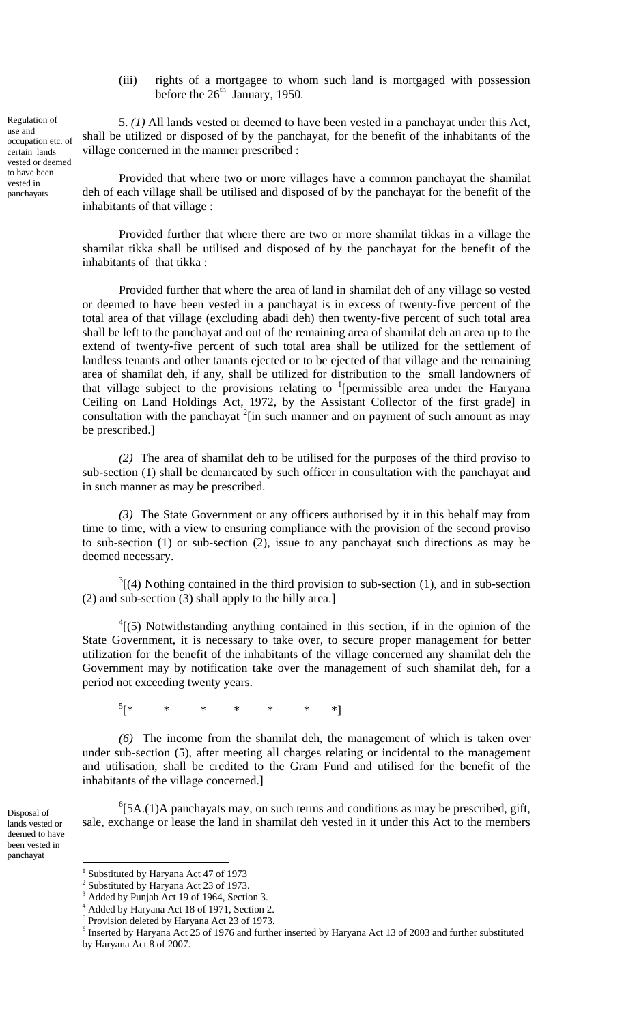(iii) rights of a mortgagee to whom such land is mortgaged with possession before the  $26<sup>th</sup>$  January, 1950.

5. *(1)* All lands vested or deemed to have been vested in a panchayat under this Act, shall be utilized or disposed of by the panchayat, for the benefit of the inhabitants of the village concerned in the manner prescribed :

Provided that where two or more villages have a common panchayat the shamilat deh of each village shall be utilised and disposed of by the panchayat for the benefit of the inhabitants of that village :

Provided further that where there are two or more shamilat tikkas in a village the shamilat tikka shall be utilised and disposed of by the panchayat for the benefit of the inhabitants of that tikka :

Provided further that where the area of land in shamilat deh of any village so vested or deemed to have been vested in a panchayat is in excess of twenty-five percent of the total area of that village (excluding abadi deh) then twenty-five percent of such total area shall be left to the panchayat and out of the remaining area of shamilat deh an area up to the extend of twenty-five percent of such total area shall be utilized for the settlement of landless tenants and other tanants ejected or to be ejected of that village and the remaining area of shamilat deh, if any, shall be utilized for distribution to the small landowners of that village subject to the provisions relating to  $1$ [permissible area under the Haryana Ceiling on Land Holdings Act, 1972, by the Assistant Collector of the first grade] in consultation with the panchayat  $2$ [in such manner and on payment of such amount as may be prescribed.]

*(2)* The area of shamilat deh to be utilised for the purposes of the third proviso to sub-section (1) shall be demarcated by such officer in consultation with the panchayat and in such manner as may be prescribed.

*(3)* The State Government or any officers authorised by it in this behalf may from time to time, with a view to ensuring compliance with the provision of the second proviso to sub-section (1) or sub-section (2), issue to any panchayat such directions as may be deemed necessary.

 $3(4)$  Nothing contained in the third provision to sub-section (1), and in sub-section (2) and sub-section (3) shall apply to the hilly area.]

 $^{4}$ [(5) Notwithstanding anything contained in this section, if in the opinion of the State Government, it is necessary to take over, to secure proper management for better utilization for the benefit of the inhabitants of the village concerned any shamilat deh the Government may by notification take over the management of such shamilat deh, for a period not exceeding twenty years.

 $5$ <sup>\*</sup> [\* \* \* \* \* \* \*]

*(6)* The income from the shamilat deh, the management of which is taken over under sub-section (5), after meeting all charges relating or incidental to the management and utilisation, shall be credited to the Gram Fund and utilised for the benefit of the inhabitants of the village concerned.]

 ${}^{6}$ [5A.(1)A panchayats may, on such terms and conditions as may be prescribed, gift, sale, exchange or lease the land in shamilat deh vested in it under this Act to the members

<u>.</u>

Disposal of lands vested or deemed to have been vested in panchayat

Regulation of use and occupation etc. of certain lands vested or deemed to have been vested in panchayats

<sup>1</sup> Substituted by Haryana Act 47 of 1973 2

Substituted by Haryana Act 23 of 1973.

 $^3$  Added by Punjab Act 19 of 1964, Section 3.

Added by Haryana Act 18 of 1971, Section 2.

<sup>5</sup> Provision deleted by Haryana Act 23 of 1973.

<sup>&</sup>lt;sup>6</sup> Inserted by Haryana Act 25 of 1976 and further inserted by Haryana Act 13 of 2003 and further substituted by Haryana Act 8 of 2007.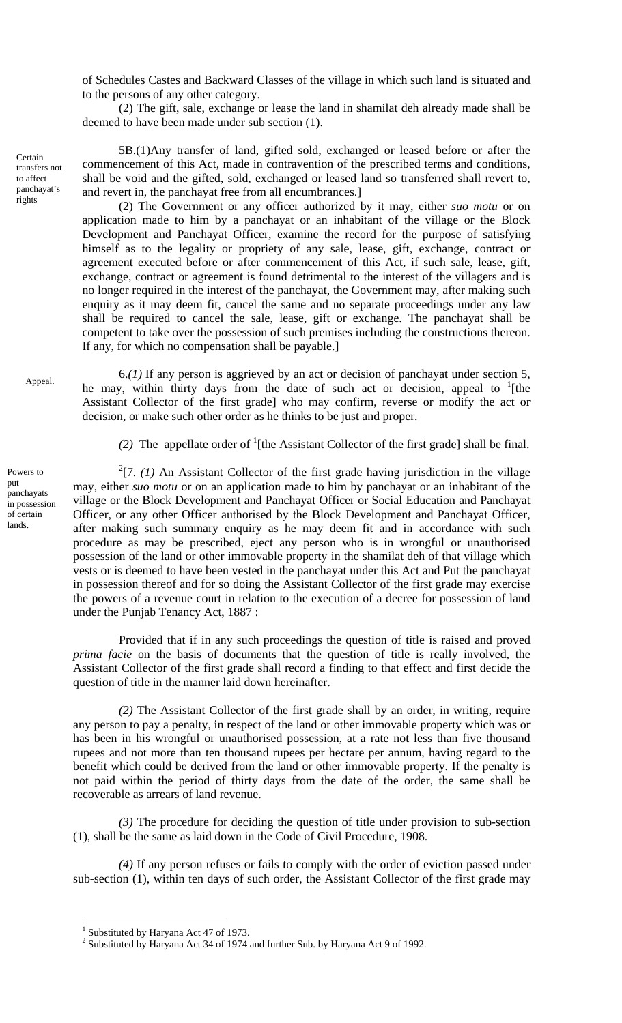of Schedules Castes and Backward Classes of the village in which such land is situated and to the persons of any other category.

(2) The gift, sale, exchange or lease the land in shamilat deh already made shall be deemed to have been made under sub section (1).

5B.(1)Any transfer of land, gifted sold, exchanged or leased before or after the commencement of this Act, made in contravention of the prescribed terms and conditions, shall be void and the gifted, sold, exchanged or leased land so transferred shall revert to, and revert in, the panchayat free from all encumbrances.]

(2) The Government or any officer authorized by it may, either *suo motu* or on application made to him by a panchayat or an inhabitant of the village or the Block Development and Panchayat Officer, examine the record for the purpose of satisfying himself as to the legality or propriety of any sale, lease, gift, exchange, contract or agreement executed before or after commencement of this Act, if such sale, lease, gift, exchange, contract or agreement is found detrimental to the interest of the villagers and is no longer required in the interest of the panchayat, the Government may, after making such enquiry as it may deem fit, cancel the same and no separate proceedings under any law shall be required to cancel the sale, lease, gift or exchange. The panchayat shall be competent to take over the possession of such premises including the constructions thereon. If any, for which no compensation shall be payable.]

Appeal.

Certain transfers not to affect panchayat's rights

> 6.*(1)* If any person is aggrieved by an act or decision of panchayat under section 5, he may, within thirty days from the date of such act or decision, appeal to  $1$ [the Assistant Collector of the first grade] who may confirm, reverse or modify the act or decision, or make such other order as he thinks to be just and proper.

(2) The appellate order of  $\frac{1}{1}$  [the Assistant Collector of the first grade] shall be final.

 $2$ [7. *(1)* An Assistant Collector of the first grade having jurisdiction in the village may, either *suo motu* or on an application made to him by panchayat or an inhabitant of the village or the Block Development and Panchayat Officer or Social Education and Panchayat Officer, or any other Officer authorised by the Block Development and Panchayat Officer, after making such summary enquiry as he may deem fit and in accordance with such procedure as may be prescribed, eject any person who is in wrongful or unauthorised possession of the land or other immovable property in the shamilat deh of that village which vests or is deemed to have been vested in the panchayat under this Act and Put the panchayat in possession thereof and for so doing the Assistant Collector of the first grade may exercise the powers of a revenue court in relation to the execution of a decree for possession of land under the Punjab Tenancy Act, 1887 :

Provided that if in any such proceedings the question of title is raised and proved *prima facie* on the basis of documents that the question of title is really involved, the Assistant Collector of the first grade shall record a finding to that effect and first decide the question of title in the manner laid down hereinafter.

*(2)* The Assistant Collector of the first grade shall by an order, in writing, require any person to pay a penalty, in respect of the land or other immovable property which was or has been in his wrongful or unauthorised possession, at a rate not less than five thousand rupees and not more than ten thousand rupees per hectare per annum, having regard to the benefit which could be derived from the land or other immovable property. If the penalty is not paid within the period of thirty days from the date of the order, the same shall be recoverable as arrears of land revenue.

*(3)* The procedure for deciding the question of title under provision to sub-section (1), shall be the same as laid down in the Code of Civil Procedure, 1908.

*(4)* If any person refuses or fails to comply with the order of eviction passed under sub-section (1), within ten days of such order, the Assistant Collector of the first grade may

 $\overline{a}$ 

Powers to put panchayats in possession of certain lands.

<sup>&</sup>lt;sup>1</sup> Substituted by Haryana Act 47 of 1973.

<sup>&</sup>lt;sup>2</sup> Substituted by Haryana Act 34 of 1974 and further Sub. by Haryana Act 9 of 1992.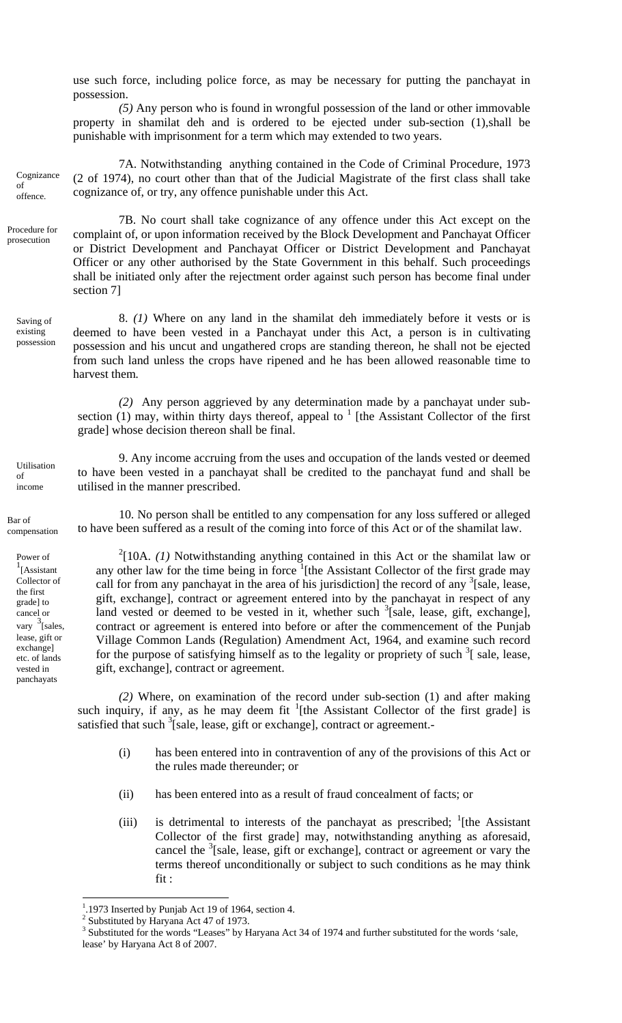use such force, including police force, as may be necessary for putting the panchayat in possession.

*(5)* Any person who is found in wrongful possession of the land or other immovable property in shamilat deh and is ordered to be ejected under sub-section (1),shall be punishable with imprisonment for a term which may extended to two years.

7A. Notwithstanding anything contained in the Code of Criminal Procedure, 1973 (2 of 1974), no court other than that of the Judicial Magistrate of the first class shall take cognizance of, or try, any offence punishable under this Act. Cognizance offence.

> 7B. No court shall take cognizance of any offence under this Act except on the complaint of, or upon information received by the Block Development and Panchayat Officer or District Development and Panchayat Officer or District Development and Panchayat Officer or any other authorised by the State Government in this behalf. Such proceedings shall be initiated only after the rejectment order against such person has become final under section 7]

8. *(1)* Where on any land in the shamilat deh immediately before it vests or is deemed to have been vested in a Panchayat under this Act, a person is in cultivating possession and his uncut and ungathered crops are standing thereon, he shall not be ejected from such land unless the crops have ripened and he has been allowed reasonable time to harvest them*.*  Saving of possession

> *(2)* Any person aggrieved by any determination made by a panchayat under subsection  $(1)$  may, within thirty days thereof, appeal to  $1$  [the Assistant Collector of the first grade] whose decision thereon shall be final.

9. Any income accruing from the uses and occupation of the lands vested or deemed to have been vested in a panchayat shall be credited to the panchayat fund and shall be utilised in the manner prescribed.

Bar of compensation

Utilisation of income

of

Procedure for prosecution

existing

Power of 1 [Assistant Collector of the first grade] to cancel or vary  $\frac{3}{3}$  [sales, lease, gift or exchange] etc. of lands vested in panchayats

10. No person shall be entitled to any compensation for any loss suffered or alleged to have been suffered as a result of the coming into force of this Act or of the shamilat law.

 $2[10A. (1)$  Notwithstanding anything contained in this Act or the shamilat law or any other law for the time being in force <sup>1</sup>[the Assistant Collector of the first grade may call for from any panchayat in the area of his jurisdiction] the record of any  $\frac{3}{2}$ [sale, lease, gift, exchange], contract or agreement entered into by the panchayat in respect of any land vested or deemed to be vested in it, whether such  $\frac{3}{2}$ [sale, lease, gift, exchange], contract or agreement is entered into before or after the commencement of the Punjab Village Common Lands (Regulation) Amendment Act, 1964, and examine such record for the purpose of satisfying himself as to the legality or propriety of such  $3$ [ sale, lease, gift, exchange], contract or agreement.

*(2)* Where, on examination of the record under sub-section (1) and after making such inquiry, if any, as he may deem fit  $\frac{1}{1}$ [the Assistant Collector of the first grade] is satisfied that such  $3$ [sale, lease, gift or exchange], contract or agreement.

- (i) has been entered into in contravention of any of the provisions of this Act or the rules made thereunder; or
- (ii) has been entered into as a result of fraud concealment of facts; or
- (iii) is detrimental to interests of the panchayat as prescribed;  $\frac{1}{1}$ [the Assistant] Collector of the first grade] may, notwithstanding anything as aforesaid, cancel the <sup>3</sup>[sale, lease, gift or exchange], contract or agreement or vary the terms thereof unconditionally or subject to such conditions as he may think fit :

<sup>&</sup>lt;sup>1</sup>.1973 Inserted by Punjab Act 19 of 1964, section 4.

<sup>&</sup>lt;sup>2</sup> Substituted by Haryana Act 47 of 1973.

<sup>&</sup>lt;sup>3</sup> Substituted for the words "Leases" by Haryana Act 34 of 1974 and further substituted for the words 'sale, lease' by Haryana Act 8 of 2007.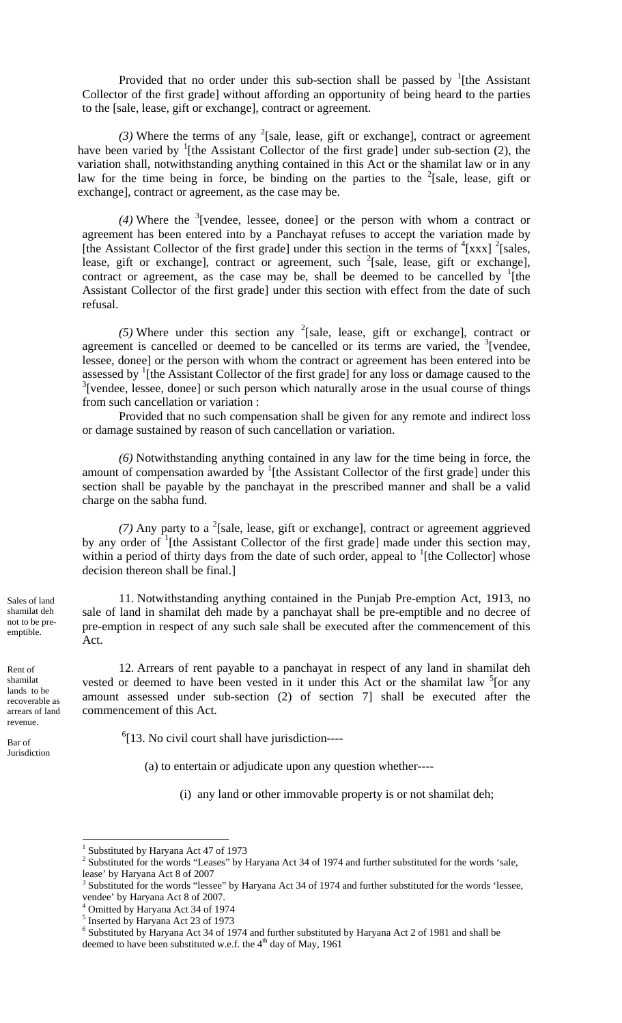Provided that no order under this sub-section shall be passed by  $\frac{1}{1}$ [the Assistant Collector of the first grade] without affording an opportunity of being heard to the parties to the [sale, lease, gift or exchange], contract or agreement.

(3) Where the terms of any <sup>2</sup>[sale, lease, gift or exchange], contract or agreement have been varied by  $\frac{1}{1}$ [the Assistant Collector of the first grade] under sub-section (2), the variation shall, notwithstanding anything contained in this Act or the shamilat law or in any law for the time being in force, be binding on the parties to the  $2$ [sale, lease, gift or exchange], contract or agreement, as the case may be.

(4) Where the <sup>3</sup>[vendee, lessee, donee] or the person with whom a contract or agreement has been entered into by a Panchayat refuses to accept the variation made by [the Assistant Collector of the first grade] under this section in the terms of  $\frac{4}{x}$ [xxx]  $\frac{2}{x}$ [sales, lease, gift or exchange], contract or agreement, such  $2$ [sale, lease, gift or exchange], contract or agreement, as the case may be, shall be deemed to be cancelled by  $\frac{1}{1}$  [the Assistant Collector of the first grade] under this section with effect from the date of such refusal.

(5) Where under this section any <sup>2</sup>[sale, lease, gift or exchange], contract or agreement is cancelled or deemed to be cancelled or its terms are varied, the  $3$ [vendee, lessee, donee] or the person with whom the contract or agreement has been entered into be assessed by <sup>1</sup>[the Assistant Collector of the first grade] for any loss or damage caused to the  $3$ [vendee, lessee, donee] or such person which naturally arose in the usual course of things from such cancellation or variation :

Provided that no such compensation shall be given for any remote and indirect loss or damage sustained by reason of such cancellation or variation.

*(6)* Notwithstanding anything contained in any law for the time being in force, the amount of compensation awarded by  $\frac{1}{1}$ [the Assistant Collector of the first grade] under this section shall be payable by the panchayat in the prescribed manner and shall be a valid charge on the sabha fund.

 $(7)$  Any party to a <sup>2</sup>[sale, lease, gift or exchange], contract or agreement aggrieved by any order of <sup>1</sup>[the Assistant Collector of the first grade] made under this section may, within a period of thirty days from the date of such order, appeal to  ${}^{1}$ [the Collector] whose decision thereon shall be final.]

11. Notwithstanding anything contained in the Punjab Pre-emption Act, 1913, no sale of land in shamilat deh made by a panchayat shall be pre-emptible and no decree of pre-emption in respect of any such sale shall be executed after the commencement of this Act.

12. Arrears of rent payable to a panchayat in respect of any land in shamilat deh vested or deemed to have been vested in it under this Act or the shamilat law  $5$  [or any amount assessed under sub-section (2) of section 7] shall be executed after the commencement of this Act.

 $<sup>6</sup>[13. No civil court shall have jurisdiction---$ </sup>

(a) to entertain or adjudicate upon any question whether----

(i) any land or other immovable property is or not shamilat deh;

Sales of land shamilat deh not to be preemptible.

Rent of shamilat lands to be recoverable as arrears of land revenue.

Bar of Jurisdiction

<sup>&</sup>lt;sup>1</sup> Substituted by Haryana Act 47 of 1973

<sup>&</sup>lt;sup>2</sup> Substituted for the words "Leases" by Haryana Act 34 of 1974 and further substituted for the words 'sale, lease' by Haryana Act 8 of 2007

<sup>&</sup>lt;sup>3</sup> Substituted for the words "lessee" by Haryana Act 34 of 1974 and further substituted for the words 'lessee, vendee' by Haryana Act 8 of 2007.

<sup>4</sup> Omitted by Haryana Act 34 of 1974

<sup>&</sup>lt;sup>5</sup> Inserted by Haryana Act 23 of 1973

<sup>&</sup>lt;sup>6</sup> Substituted by Haryana Act 34 of 1974 and further substituted by Haryana Act 2 of 1981 and shall be deemed to have been substituted w.e.f. the  $4<sup>th</sup>$  day of May, 1961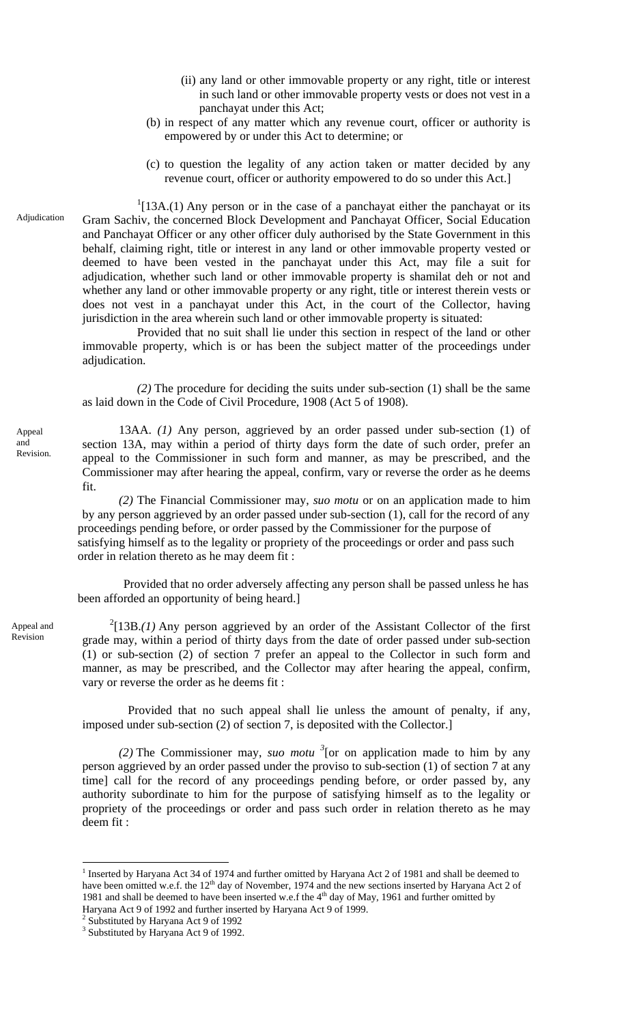- (ii) any land or other immovable property or any right, title or interest in such land or other immovable property vests or does not vest in a panchayat under this Act;
- (b) in respect of any matter which any revenue court, officer or authority is empowered by or under this Act to determine; or
- (c) to question the legality of any action taken or matter decided by any revenue court, officer or authority empowered to do so under this Act.]

Adjudication

 $1$ [13A.(1) Any person or in the case of a panchayat either the panchayat or its Gram Sachiv, the concerned Block Development and Panchayat Officer, Social Education and Panchayat Officer or any other officer duly authorised by the State Government in this behalf, claiming right, title or interest in any land or other immovable property vested or deemed to have been vested in the panchayat under this Act, may file a suit for adjudication, whether such land or other immovable property is shamilat deh or not and whether any land or other immovable property or any right, title or interest therein vests or does not vest in a panchayat under this Act, in the court of the Collector, having jurisdiction in the area wherein such land or other immovable property is situated:

Provided that no suit shall lie under this section in respect of the land or other immovable property, which is or has been the subject matter of the proceedings under adjudication.

*(2)* The procedure for deciding the suits under sub-section (1) shall be the same as laid down in the Code of Civil Procedure, 1908 (Act 5 of 1908).

13AA. *(1)* Any person, aggrieved by an order passed under sub-section (1) of section 13A, may within a period of thirty days form the date of such order, prefer an appeal to the Commissioner in such form and manner, as may be prescribed, and the Commissioner may after hearing the appeal, confirm, vary or reverse the order as he deems fit.

*(2)* The Financial Commissioner may, *suo motu* or on an application made to him by any person aggrieved by an order passed under sub-section (1), call for the record of any proceedings pending before, or order passed by the Commissioner for the purpose of satisfying himself as to the legality or propriety of the proceedings or order and pass such order in relation thereto as he may deem fit :

 Provided that no order adversely affecting any person shall be passed unless he has been afforded an opportunity of being heard.]

 $2$ [13B.*(1)* Any person aggrieved by an order of the Assistant Collector of the first grade may, within a period of thirty days from the date of order passed under sub-section (1) or sub-section (2) of section 7 prefer an appeal to the Collector in such form and manner, as may be prescribed, and the Collector may after hearing the appeal, confirm, vary or reverse the order as he deems fit :

Provided that no such appeal shall lie unless the amount of penalty, if any, imposed under sub-section (2) of section 7, is deposited with the Collector.]

(2) The Commissioner may, *suo motu* <sup>3</sup> [or on application made to him by any person aggrieved by an order passed under the proviso to sub-section (1) of section 7 at any time] call for the record of any proceedings pending before, or order passed by, any authority subordinate to him for the purpose of satisfying himself as to the legality or propriety of the proceedings or order and pass such order in relation thereto as he may deem fit :

Appeal and Revision

Appeal and Revision.

<sup>&</sup>lt;sup>1</sup> Inserted by Haryana Act 34 of 1974 and further omitted by Haryana Act 2 of 1981 and shall be deemed to have been omitted w.e.f. the 12<sup>th</sup> day of November, 1974 and the new sections inserted by Haryana Act 2 of 1981 and shall be deemed to have been inserted w.e.f the 4<sup>th</sup> day of May, 1961 and further omitted by Haryana Act 9 of 1992 and further inserted by Haryana Act 9 of 1999. 2 Substituted by Haryana Act 9 of 1992

<sup>&</sup>lt;sup>3</sup> Substituted by Haryana Act 9 of 1992.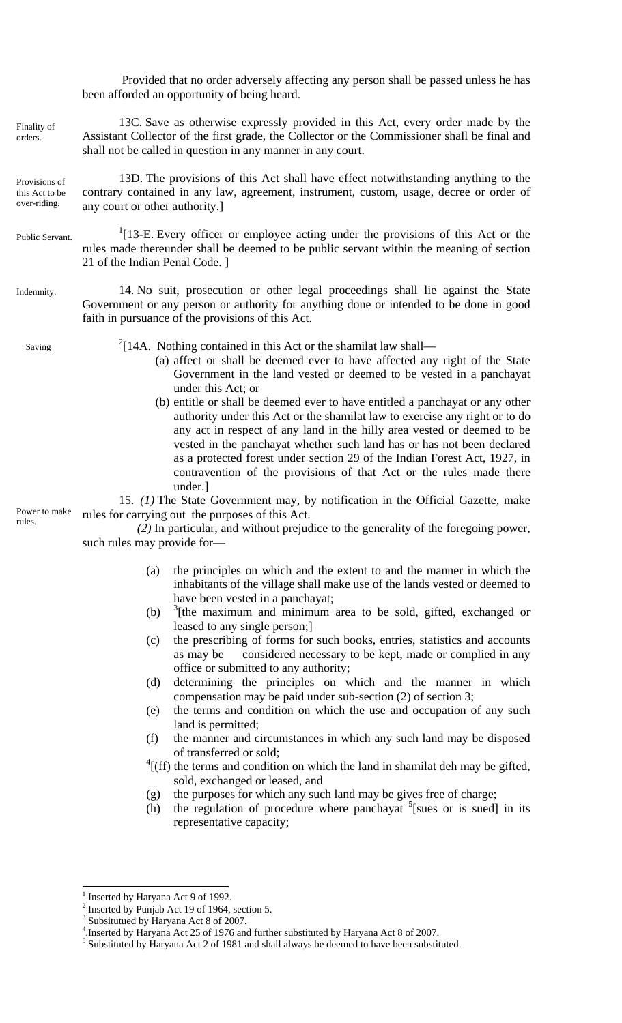Provided that no order adversely affecting any person shall be passed unless he has been afforded an opportunity of being heard.

13C. Save as otherwise expressly provided in this Act, every order made by the Assistant Collector of the first grade, the Collector or the Commissioner shall be final and shall not be called in question in any manner in any court. Finality of orders.

Provisions of this Act to be over-riding.

13D. The provisions of this Act shall have effect notwithstanding anything to the contrary contained in any law, agreement, instrument, custom, usage, decree or order of any court or other authority.]

- $1$ [13-E. Every officer or employee acting under the provisions of this Act or the rules made thereunder shall be deemed to be public servant within the meaning of section 21 of the Indian Penal Code. ] Public Servant.
- 14. No suit, prosecution or other legal proceedings shall lie against the State Government or any person or authority for anything done or intended to be done in good faith in pursuance of the provisions of this Act. Indemnity.

Saving

 $2$ [14A. Nothing contained in this Act or the shamilat law shall—

- (a) affect or shall be deemed ever to have affected any right of the State Government in the land vested or deemed to be vested in a panchayat under this Act; or
- (b) entitle or shall be deemed ever to have entitled a panchayat or any other authority under this Act or the shamilat law to exercise any right or to do any act in respect of any land in the hilly area vested or deemed to be vested in the panchayat whether such land has or has not been declared as a protected forest under section 29 of the Indian Forest Act, 1927, in contravention of the provisions of that Act or the rules made there under.]

Power to make rules.

15. *(1)* The State Government may, by notification in the Official Gazette, make rules for carrying out the purposes of this Act.

*(2)* In particular, and without prejudice to the generality of the foregoing power, such rules may provide for—

- (a) the principles on which and the extent to and the manner in which the inhabitants of the village shall make use of the lands vested or deemed to have been vested in a panchayat;
- $(b)$  $3$ [the maximum and minimum area to be sold, gifted, exchanged or leased to any single person;]
- (c) the prescribing of forms for such books, entries, statistics and accounts as may be considered necessary to be kept, made or complied in any office or submitted to any authority;
- (d) determining the principles on which and the manner in which compensation may be paid under sub-section (2) of section 3;
- (e) the terms and condition on which the use and occupation of any such land is permitted;
- (f) the manner and circumstances in which any such land may be disposed of transferred or sold;
- $^{4}$ [(ff) the terms and condition on which the land in shamilat deh may be gifted, sold, exchanged or leased, and
- (g) the purposes for which any such land may be gives free of charge;
- (h) the regulation of procedure where panchayat  $5$ [sues or is sued] in its representative capacity;

<sup>&</sup>lt;sup>1</sup> Inserted by Haryana Act 9 of 1992.

<sup>&</sup>lt;sup>2</sup> Inserted by Punjab Act 19 of 1964, section 5.

Subsitutued by Haryana Act 8 of 2007.

<sup>&</sup>lt;sup>4</sup>.Inserted by Haryana Act 25 of 1976 and further substituted by Haryana Act 8 of 2007.

 $<sup>5</sup>$  Substituted by Haryana Act 2 of 1981 and shall always be deemed to have been substituted.</sup>